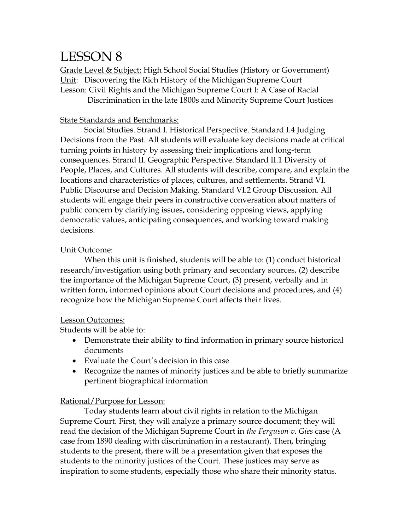# LESSON 8

Grade Level & Subject: High School Social Studies (History or Government) Unit: Discovering the Rich History of the Michigan Supreme Court Lesson: Civil Rights and the Michigan Supreme Court I: A Case of Racial Discrimination in the late 1800s and Minority Supreme Court Justices

### State Standards and Benchmarks:

Social Studies. Strand I. Historical Perspective. Standard I.4 Judging Decisions from the Past. All students will evaluate key decisions made at critical turning points in history by assessing their implications and long-term consequences. Strand II. Geographic Perspective. Standard II.1 Diversity of People, Places, and Cultures. All students will describe, compare, and explain the locations and characteristics of places, cultures, and settlements. Strand VI. Public Discourse and Decision Making. Standard VI.2 Group Discussion. All students will engage their peers in constructive conversation about matters of public concern by clarifying issues, considering opposing views, applying democratic values, anticipating consequences, and working toward making decisions.

#### Unit Outcome:

When this unit is finished, students will be able to: (1) conduct historical research/investigation using both primary and secondary sources, (2) describe the importance of the Michigan Supreme Court, (3) present, verbally and in written form, informed opinions about Court decisions and procedures, and (4) recognize how the Michigan Supreme Court affects their lives.

#### Lesson Outcomes:

Students will be able to:

- Demonstrate their ability to find information in primary source historical documents
- Evaluate the Court's decision in this case
- Recognize the names of minority justices and be able to briefly summarize pertinent biographical information

## Rational/Purpose for Lesson:

Today students learn about civil rights in relation to the Michigan Supreme Court. First, they will analyze a primary source document; they will read the decision of the Michigan Supreme Court in *the Ferguson v. Gies* case (A case from 1890 dealing with discrimination in a restaurant). Then, bringing students to the present, there will be a presentation given that exposes the students to the minority justices of the Court. These justices may serve as inspiration to some students, especially those who share their minority status.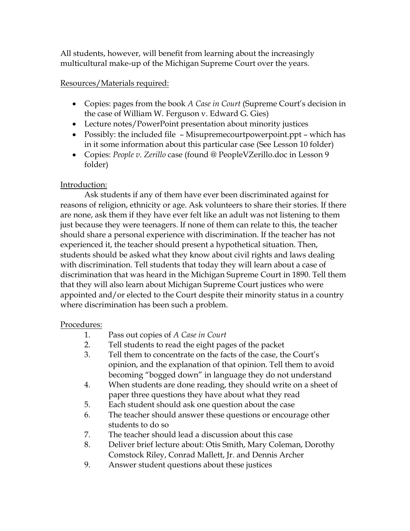All students, however, will benefit from learning about the increasingly multicultural make-up of the Michigan Supreme Court over the years.

## Resources/Materials required:

- Copies: pages from the book *A Case in Court* (Supreme Court's decision in the case of William W. Ferguson v. Edward G. Gies)
- Lecture notes/PowerPoint presentation about minority justices
- Possibly: the included file Misupremecourtpowerpoint.ppt which has in it some information about this particular case (See Lesson 10 folder)
- Copies: *People v. Zerillo* case (found @ PeopleVZerillo.doc in Lesson 9 folder)

# Introduction:

Ask students if any of them have ever been discriminated against for reasons of religion, ethnicity or age. Ask volunteers to share their stories. If there are none, ask them if they have ever felt like an adult was not listening to them just because they were teenagers. If none of them can relate to this, the teacher should share a personal experience with discrimination. If the teacher has not experienced it, the teacher should present a hypothetical situation. Then, students should be asked what they know about civil rights and laws dealing with discrimination. Tell students that today they will learn about a case of discrimination that was heard in the Michigan Supreme Court in 1890. Tell them that they will also learn about Michigan Supreme Court justices who were appointed and/or elected to the Court despite their minority status in a country where discrimination has been such a problem.

# Procedures:

- 1. Pass out copies of *A Case in Court*
- 2. Tell students to read the eight pages of the packet
- 3. Tell them to concentrate on the facts of the case, the Court's opinion, and the explanation of that opinion. Tell them to avoid becoming "bogged down" in language they do not understand
- 4. When students are done reading, they should write on a sheet of paper three questions they have about what they read
- 5. Each student should ask one question about the case
- 6. The teacher should answer these questions or encourage other students to do so
- 7. The teacher should lead a discussion about this case
- 8. Deliver brief lecture about: Otis Smith, Mary Coleman, Dorothy Comstock Riley, Conrad Mallett, Jr. and Dennis Archer
- 9. Answer student questions about these justices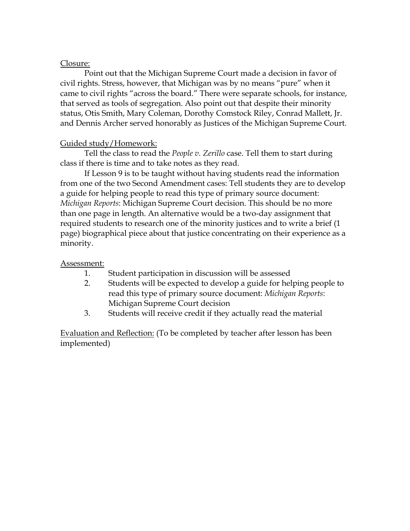### Closure:

Point out that the Michigan Supreme Court made a decision in favor of civil rights. Stress, however, that Michigan was by no means "pure" when it came to civil rights "across the board." There were separate schools, for instance, that served as tools of segregation. Also point out that despite their minority status, Otis Smith, Mary Coleman, Dorothy Comstock Riley, Conrad Mallett, Jr. and Dennis Archer served honorably as Justices of the Michigan Supreme Court.

## Guided study/Homework:

Tell the class to read the *People v. Zerillo* case. Tell them to start during class if there is time and to take notes as they read.

If Lesson 9 is to be taught without having students read the information from one of the two Second Amendment cases: Tell students they are to develop a guide for helping people to read this type of primary source document: *Michigan Reports*: Michigan Supreme Court decision. This should be no more than one page in length. An alternative would be a two-day assignment that required students to research one of the minority justices and to write a brief (1 page) biographical piece about that justice concentrating on their experience as a minority.

## Assessment:

- 1. Student participation in discussion will be assessed
- 2. Students will be expected to develop a guide for helping people to read this type of primary source document: *Michigan Reports*: Michigan Supreme Court decision
- 3. Students will receive credit if they actually read the material

Evaluation and Reflection: (To be completed by teacher after lesson has been implemented)